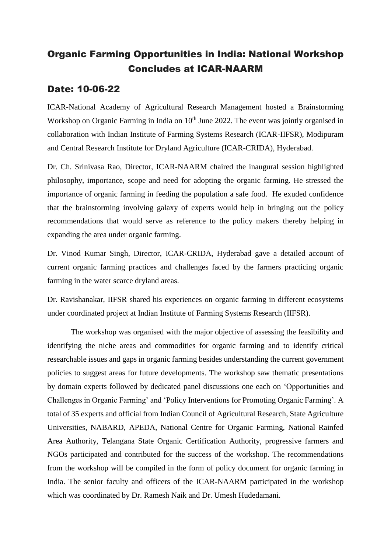## Organic Farming Opportunities in India: National Workshop Concludes at ICAR-NAARM

## Date: 10-06-22

ICAR-National Academy of Agricultural Research Management hosted a Brainstorming Workshop on Organic Farming in India on 10<sup>th</sup> June 2022. The event was jointly organised in collaboration with Indian Institute of Farming Systems Research (ICAR-IIFSR), Modipuram and Central Research Institute for Dryland Agriculture (ICAR-CRIDA), Hyderabad.

Dr. Ch. Srinivasa Rao, Director, ICAR-NAARM chaired the inaugural session highlighted philosophy, importance, scope and need for adopting the organic farming. He stressed the importance of organic farming in feeding the population a safe food. He exuded confidence that the brainstorming involving galaxy of experts would help in bringing out the policy recommendations that would serve as reference to the policy makers thereby helping in expanding the area under organic farming.

Dr. Vinod Kumar Singh, Director, ICAR-CRIDA, Hyderabad gave a detailed account of current organic farming practices and challenges faced by the farmers practicing organic farming in the water scarce dryland areas.

Dr. Ravishanakar, IIFSR shared his experiences on organic farming in different ecosystems under coordinated project at Indian Institute of Farming Systems Research (IIFSR).

The workshop was organised with the major objective of assessing the feasibility and identifying the niche areas and commodities for organic farming and to identify critical researchable issues and gaps in organic farming besides understanding the current government policies to suggest areas for future developments. The workshop saw thematic presentations by domain experts followed by dedicated panel discussions one each on 'Opportunities and Challenges in Organic Farming' and 'Policy Interventions for Promoting Organic Farming'. A total of 35 experts and official from Indian Council of Agricultural Research, State Agriculture Universities, NABARD, APEDA, National Centre for Organic Farming, National Rainfed Area Authority, Telangana State Organic Certification Authority, progressive farmers and NGOs participated and contributed for the success of the workshop. The recommendations from the workshop will be compiled in the form of policy document for organic farming in India. The senior faculty and officers of the ICAR-NAARM participated in the workshop which was coordinated by Dr. Ramesh Naik and Dr. Umesh Hudedamani.